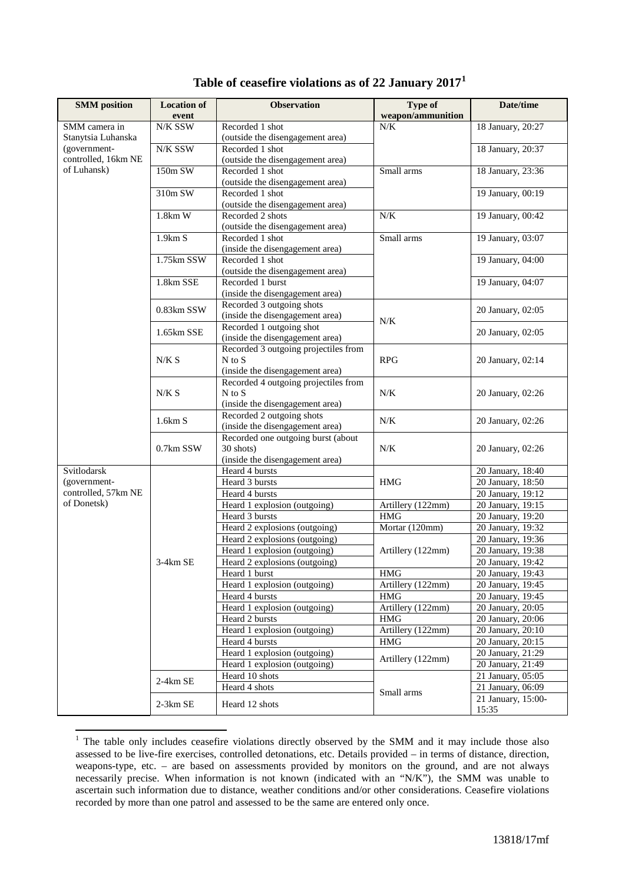| <b>SMM</b> position                                 | <b>Location of</b> | <b>Observation</b>                                   | Type of           | Date/time          |
|-----------------------------------------------------|--------------------|------------------------------------------------------|-------------------|--------------------|
|                                                     | event              |                                                      | weapon/ammunition |                    |
| SMM camera in<br>Stanytsia Luhanska<br>(government- | N/K SSW            | Recorded 1 shot                                      | N/K               | 18 January, 20:27  |
|                                                     |                    | (outside the disengagement area)                     |                   |                    |
|                                                     | N/K SSW            | Recorded 1 shot                                      |                   | 18 January, 20:37  |
| controlled, 16km NE                                 |                    | (outside the disengagement area)                     |                   |                    |
| of Luhansk)                                         | 150m SW            | Recorded 1 shot                                      | Small arms        | 18 January, 23:36  |
|                                                     |                    | (outside the disengagement area)                     |                   |                    |
|                                                     | 310m SW            | Recorded 1 shot                                      |                   | 19 January, 00:19  |
|                                                     |                    | (outside the disengagement area)                     |                   |                    |
|                                                     | $1.8km$ W          | Recorded 2 shots                                     | N/K               | 19 January, 00:42  |
|                                                     |                    | (outside the disengagement area)                     |                   |                    |
|                                                     | 1.9km S            | Recorded 1 shot                                      | Small arms        | 19 January, 03:07  |
|                                                     |                    | (inside the disengagement area)                      |                   |                    |
|                                                     | 1.75km SSW         | Recorded 1 shot                                      |                   | 19 January, 04:00  |
|                                                     | 1.8km SSE          | (outside the disengagement area)<br>Recorded 1 burst |                   | 19 January, 04:07  |
|                                                     |                    | (inside the disengagement area)                      |                   |                    |
|                                                     |                    | Recorded 3 outgoing shots                            |                   |                    |
|                                                     | 0.83km SSW         | (inside the disengagement area)                      |                   | 20 January, 02:05  |
|                                                     |                    | Recorded 1 outgoing shot                             | N/K               |                    |
|                                                     | 1.65km SSE         | (inside the disengagement area)                      |                   | 20 January, 02:05  |
|                                                     |                    | Recorded 3 outgoing projectiles from                 |                   |                    |
|                                                     | N/K S              | N to S                                               | <b>RPG</b>        | 20 January, 02:14  |
|                                                     |                    | (inside the disengagement area)                      |                   |                    |
|                                                     |                    | Recorded 4 outgoing projectiles from                 |                   |                    |
|                                                     | N/K S              | $N$ to $S$                                           | N/K               | 20 January, 02:26  |
|                                                     |                    | (inside the disengagement area)                      |                   |                    |
|                                                     | 1.6km S            | Recorded 2 outgoing shots                            | N/K               | 20 January, 02:26  |
|                                                     |                    | (inside the disengagement area)                      |                   |                    |
|                                                     |                    | Recorded one outgoing burst (about                   |                   |                    |
|                                                     | 0.7km SSW          | 30 shots)                                            | N/K               | 20 January, 02:26  |
| Svitlodarsk                                         | 3-4km SE           | (inside the disengagement area)<br>Heard 4 bursts    | <b>HMG</b>        | 20 January, 18:40  |
| (government-                                        |                    | Heard 3 bursts                                       |                   | 20 January, 18:50  |
| controlled, 57km NE                                 |                    | Heard 4 bursts                                       |                   | 20 January, 19:12  |
| of Donetsk)                                         |                    | Heard 1 explosion (outgoing)                         | Artillery (122mm) | 20 January, 19:15  |
|                                                     |                    | Heard 3 bursts                                       | <b>HMG</b>        | 20 January, 19:20  |
|                                                     |                    | Heard 2 explosions (outgoing)                        | Mortar (120mm)    | 20 January, 19:32  |
|                                                     |                    | Heard 2 explosions (outgoing)                        |                   | 20 January, 19:36  |
|                                                     |                    | Heard 1 explosion (outgoing)                         | Artillery (122mm) | 20 January, 19:38  |
|                                                     |                    | Heard 2 explosions (outgoing)                        |                   | 20 January, 19:42  |
|                                                     |                    | Heard 1 burst                                        | <b>HMG</b>        | 20 January, 19:43  |
|                                                     |                    | Heard 1 explosion (outgoing)                         | Artillery (122mm) | 20 January, 19:45  |
|                                                     |                    | Heard 4 bursts                                       | <b>HMG</b>        | 20 January, 19:45  |
|                                                     |                    | Heard 1 explosion (outgoing)                         | Artillery (122mm) | 20 January, 20:05  |
|                                                     |                    | Heard 2 bursts                                       | <b>HMG</b>        | 20 January, 20:06  |
|                                                     |                    | Heard 1 explosion (outgoing)                         | Artillery (122mm) | 20 January, 20:10  |
|                                                     |                    | Heard 4 bursts                                       | <b>HMG</b>        | 20 January, 20:15  |
|                                                     |                    | Heard 1 explosion (outgoing)                         | Artillery (122mm) | 20 January, 21:29  |
|                                                     |                    | Heard 1 explosion (outgoing)                         |                   | 20 January, 21:49  |
|                                                     | 2-4km SE           | Heard 10 shots                                       | Small arms        | 21 January, 05:05  |
|                                                     |                    | Heard 4 shots                                        |                   | 21 January, 06:09  |
|                                                     | $2-3km$ SE         | Heard 12 shots                                       |                   | 21 January, 15:00- |
|                                                     |                    |                                                      |                   | 15:35              |

## **Table of ceasefire violations as of 22 January 2017[1](#page-0-0)**

<span id="page-0-0"></span><sup>&</sup>lt;sup>1</sup> The table only includes ceasefire violations directly observed by the SMM and it may include those also assessed to be live-fire exercises, controlled detonations, etc. Details provided – in terms of distance, direction, weapons-type, etc. – are based on assessments provided by monitors on the ground, and are not always necessarily precise. When information is not known (indicated with an "N/K"), the SMM was unable to ascertain such information due to distance, weather conditions and/or other considerations. Ceasefire violations recorded by more than one patrol and assessed to be the same are entered only once.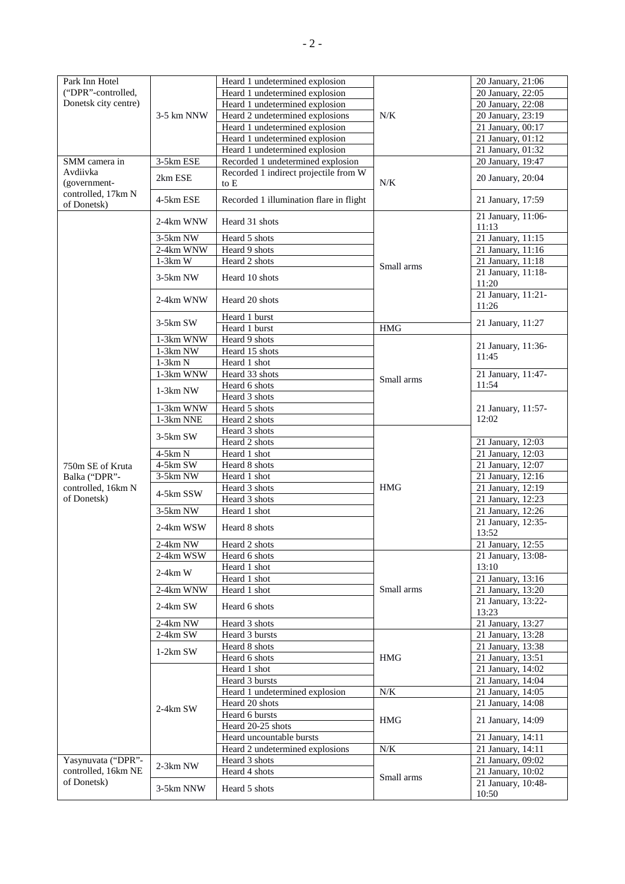| Park Inn Hotel       |             | Heard 1 undetermined explosion          |            | 20 January, 21:06              |
|----------------------|-------------|-----------------------------------------|------------|--------------------------------|
| ("DPR"-controlled,   |             | Heard 1 undetermined explosion          |            | 20 January, 22:05              |
| Donetsk city centre) |             | Heard 1 undetermined explosion          |            | 20 January, 22:08              |
|                      | 3-5 km NNW  | Heard 2 undetermined explosions         | N/K        | 20 January, 23:19              |
|                      |             | Heard 1 undetermined explosion          |            | 21 January, 00:17              |
|                      |             | Heard 1 undetermined explosion          |            | 21 January, 01:12              |
|                      |             | Heard 1 undetermined explosion          |            | $\overline{21}$ January, 01:32 |
| SMM camera in        | 3-5km ESE   | Recorded 1 undetermined explosion       |            | 20 January, 19:47              |
| Avdiivka             | 2km ESE     | Recorded 1 indirect projectile from W   |            | 20 January, 20:04              |
| (government-         |             | to E                                    | N/K        |                                |
| controlled, 17km N   | 4-5km ESE   | Recorded 1 illumination flare in flight |            | 21 January, 17:59              |
| of Donetsk)          |             |                                         |            |                                |
|                      | 2-4km WNW   | Heard 31 shots                          |            | 21 January, 11:06-             |
|                      | 3-5km NW    | Heard 5 shots                           |            | 11:13<br>21 January, 11:15     |
|                      | 2-4km WNW   | Heard 9 shots                           |            | 21 January, 11:16              |
|                      | $1-3km$ W   | Heard 2 shots                           |            | 21 January, 11:18              |
|                      |             |                                         | Small arms | 21 January, 11:18-             |
|                      | 3-5km NW    | Heard 10 shots                          |            | 11:20                          |
|                      |             |                                         |            | 21 January, 11:21-             |
|                      | 2-4km WNW   | Heard 20 shots                          |            | 11:26                          |
|                      |             | Heard 1 burst                           |            |                                |
|                      | 3-5km SW    | Heard 1 burst                           | <b>HMG</b> | 21 January, 11:27              |
|                      | 1-3km WNW   | Heard 9 shots                           |            |                                |
|                      | $1-3km$ NW  | Heard 15 shots                          |            | 21 January, 11:36-<br>11:45    |
|                      | $1-3km N$   | Heard 1 shot                            |            |                                |
|                      | $1-3km$ WNW | Heard 33 shots                          |            | 21 January, 11:47-             |
|                      |             | Heard 6 shots                           | Small arms | 11:54                          |
|                      | $1-3km$ NW  | Heard 3 shots                           |            |                                |
|                      | 1-3km WNW   | Heard 5 shots                           |            | 21 January, 11:57-             |
|                      | 1-3km NNE   | Heard 2 shots                           |            | 12:02                          |
|                      |             | Heard 3 shots                           |            |                                |
|                      | 3-5km SW    | Heard 2 shots                           | <b>HMG</b> | 21 January, 12:03              |
|                      | 4-5km N     | Heard 1 shot                            |            | 21 January, 12:03              |
| 750m SE of Kruta     | 4-5km SW    | Heard 8 shots                           |            | 21 January, 12:07              |
| Balka ("DPR"-        | $3-5km$ NW  | Heard 1 shot                            |            | 21 January, 12:16              |
| controlled, 16km N   | 4-5km SSW   | Heard 3 shots                           |            | 21 January, 12:19              |
| of Donetsk)          |             | Heard 3 shots                           |            | $\overline{21}$ January, 12:23 |
|                      | 3-5km NW    | Heard 1 shot                            |            | 21 January, 12:26              |
|                      | 2-4km WSW   | Heard 8 shots                           |            | 21 January, 12:35-             |
|                      |             |                                         |            | 13:52                          |
|                      | $2-4km$ NW  | Heard 2 shots                           |            | 21 January, 12:55              |
|                      | 2-4km WSW   | Heard 6 shots                           | Small arms | 21 January, 13:08-             |
|                      | $2-4km$ W   | Heard 1 shot                            |            | 13:10                          |
|                      |             | Heard 1 shot                            |            | 21 January, 13:16              |
|                      | 2-4km WNW   | Heard 1 shot                            |            | 21 January, 13:20              |
|                      | 2-4km SW    | Heard 6 shots                           |            | 21 January, 13:22-<br>13:23    |
|                      | 2-4km NW    | Heard 3 shots                           |            | 21 January, 13:27              |
|                      | $2-4km$ SW  | Heard 3 bursts                          |            | 21 January, 13:28              |
|                      |             | Heard 8 shots                           |            | 21 January, 13:38              |
|                      | $1-2km$ SW  | Heard 6 shots                           | HMG        | 21 January, 13:51              |
|                      |             | Heard 1 shot                            |            | 21 January, 14:02              |
|                      |             | Heard 3 bursts                          |            | 21 January, 14:04              |
|                      | $2-4km$ SW  | Heard 1 undetermined explosion          | N/K        | $\overline{21}$ January, 14:05 |
|                      |             | Heard 20 shots                          |            | 21 January, 14:08              |
|                      |             | Heard 6 bursts                          | <b>HMG</b> |                                |
|                      |             | Heard 20-25 shots                       |            | 21 January, 14:09              |
|                      |             | Heard uncountable bursts                |            | 21 January, 14:11              |
|                      |             | Heard 2 undetermined explosions         | $N\!/\!K$  | 21 January, 14:11              |
| Yasynuvata ("DPR"-   | 2-3km NW    | Heard 3 shots                           | Small arms | 21 January, 09:02              |
| controlled, 16km NE  |             | Heard 4 shots                           |            | 21 January, 10:02              |
| of Donetsk)          |             |                                         |            | 21 January, 10:48-             |
|                      | 3-5km NNW   | Heard 5 shots                           |            | 10:50                          |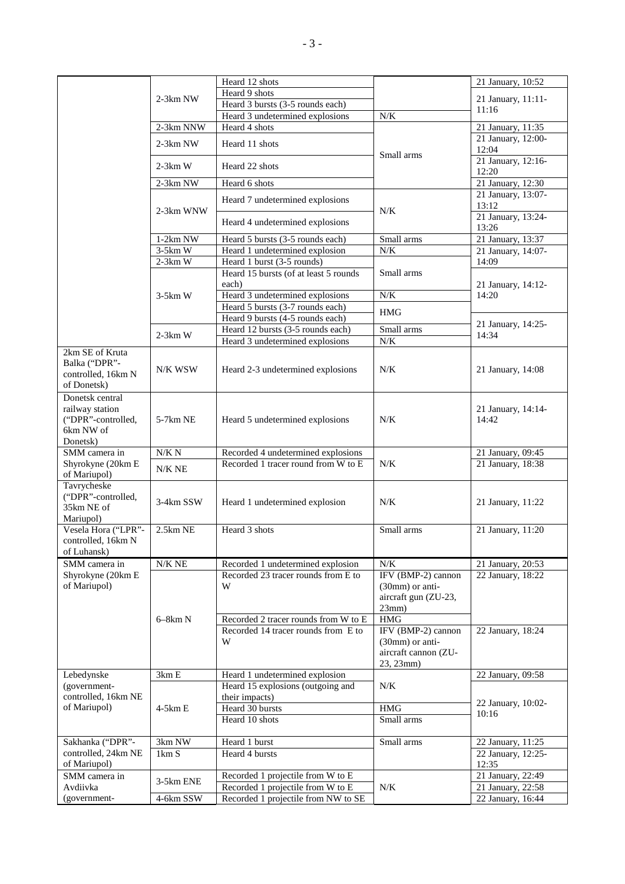|                                     |            | Heard 12 shots                           |                      | 21 January, 10:52           |
|-------------------------------------|------------|------------------------------------------|----------------------|-----------------------------|
|                                     |            |                                          |                      |                             |
|                                     | $2-3km$ NW | Heard 9 shots                            |                      | 21 January, 11:11-          |
|                                     |            | Heard 3 bursts (3-5 rounds each)         |                      | 11:16                       |
|                                     |            | Heard 3 undetermined explosions          | $N/K$                |                             |
|                                     | 2-3km NNW  | Heard 4 shots                            |                      | 21 January, 11:35           |
|                                     | $2-3km$ NW | Heard 11 shots                           |                      | 21 January, 12:00-<br>12:04 |
|                                     | $2-3km$ W  | Heard 22 shots                           | Small arms           | 21 January, 12:16-          |
|                                     | 2-3km NW   | Heard 6 shots                            |                      | 12:20<br>21 January, 12:30  |
|                                     |            |                                          |                      | 21 January, 13:07-          |
|                                     | 2-3km WNW  | Heard 7 undetermined explosions          | $N/K$                | 13:12                       |
|                                     |            | Heard 4 undetermined explosions          |                      | 21 January, 13:24-<br>13:26 |
|                                     | $1-2km NW$ | Heard 5 bursts (3-5 rounds each)         | Small arms           | 21 January, 13:37           |
|                                     | $3-5km$ W  | Heard 1 undetermined explosion           | $N/K$                | 21 January, 14:07-          |
|                                     | $2-3km$ W  | Heard 1 burst (3-5 rounds)               |                      | 14:09                       |
|                                     |            | Heard 15 bursts (of at least 5 rounds    | Small arms           |                             |
|                                     | $3-5km$ W  | each)<br>Heard 3 undetermined explosions | $N\!/\!K$            | 21 January, 14:12-<br>14:20 |
|                                     |            | Heard 5 bursts (3-7 rounds each)         | <b>HMG</b>           |                             |
|                                     |            | Heard 9 bursts (4-5 rounds each)         |                      |                             |
|                                     |            | Heard 12 bursts (3-5 rounds each)        | Small arms           | 21 January, 14:25-          |
|                                     | $2-3km$ W  | Heard 3 undetermined explosions          | N/K                  | 14:34                       |
| 2km SE of Kruta                     |            |                                          |                      |                             |
| Balka ("DPR"-<br>controlled, 16km N | N/K WSW    | Heard 2-3 undetermined explosions        | N/K                  | 21 January, 14:08           |
| of Donetsk)                         |            |                                          |                      |                             |
|                                     |            |                                          |                      |                             |
| Donetsk central                     |            |                                          |                      |                             |
| railway station                     |            |                                          |                      | 21 January, 14:14-          |
| ("DPR"-controlled,                  | $5-7km$ NE | Heard 5 undetermined explosions          | N/K                  | 14:42                       |
| 6km NW of                           |            |                                          |                      |                             |
| Donetsk)                            |            |                                          |                      |                             |
| SMM camera in                       | $N/K\ N$   | Recorded 4 undetermined explosions       |                      | 21 January, 09:45           |
| Shyrokyne (20km E                   |            | Recorded 1 tracer round from W to E      | N/K                  | 21 January, 18:38           |
| of Mariupol)                        | N/K NE     |                                          |                      |                             |
| Tavrycheske                         |            |                                          |                      |                             |
| ("DPR"-controlled,                  |            |                                          |                      |                             |
| 35km NE of                          | 3-4km SSW  | Heard 1 undetermined explosion           | N/K                  | 21 January, 11:22           |
|                                     |            |                                          |                      |                             |
| Mariupol)<br>Vesela Hora ("LPR"-    | $2.5km$ NE | Heard 3 shots                            |                      |                             |
|                                     |            |                                          | Small arms           | $21$ January, $11:20$       |
| controlled, 16km N                  |            |                                          |                      |                             |
| of Luhansk)                         |            |                                          |                      |                             |
| SMM camera in                       | $N/K$ NE   | Recorded 1 undetermined explosion        | N/K                  | 21 January, 20:53           |
| Shyrokyne (20km E                   |            | Recorded 23 tracer rounds from E to      | IFV (BMP-2) cannon   | 22 January, 18:22           |
| of Mariupol)                        |            | W                                        | (30mm) or anti-      |                             |
|                                     |            |                                          | aircraft gun (ZU-23, |                             |
|                                     |            |                                          | 23mm)                |                             |
|                                     | $6-8km N$  | Recorded 2 tracer rounds from W to E     | <b>HMG</b>           |                             |
|                                     |            | Recorded 14 tracer rounds from E to      | IFV (BMP-2) cannon   | 22 January, 18:24           |
|                                     |            | W                                        |                      |                             |
|                                     |            |                                          | $(30mm)$ or anti-    |                             |
|                                     |            |                                          | aircraft cannon (ZU- |                             |
|                                     |            |                                          | 23, 23mm)            |                             |
| Lebedynske                          | 3km E      | Heard 1 undetermined explosion           |                      | 22 January, 09:58           |
| (government-                        |            | Heard 15 explosions (outgoing and        | N/K                  |                             |
| controlled, 16km NE                 |            | their impacts)                           |                      | 22 January, 10:02-          |
| of Mariupol)                        | $4-5km E$  | Heard 30 bursts                          | <b>HMG</b>           |                             |
|                                     |            | Heard 10 shots                           | Small arms           | 10:16                       |
|                                     |            |                                          |                      |                             |
| Sakhanka ("DPR"-                    | 3km NW     | Heard 1 burst                            | Small arms           | 22 January, 11:25           |
| controlled, 24km NE                 | 1km S      | Heard 4 bursts                           |                      | 22 January, 12:25-          |
| of Mariupol)                        |            |                                          |                      | 12:35                       |
|                                     |            | Recorded 1 projectile from W to E        |                      | 21 January, 22:49           |
| SMM camera in                       | 3-5km ENE  |                                          |                      |                             |
| Avdiivka                            |            | Recorded 1 projectile from W to E        | N/K                  | 21 January, 22:58           |
| (government-                        | 4-6km SSW  | Recorded 1 projectile from NW to SE      |                      | 22 January, 16:44           |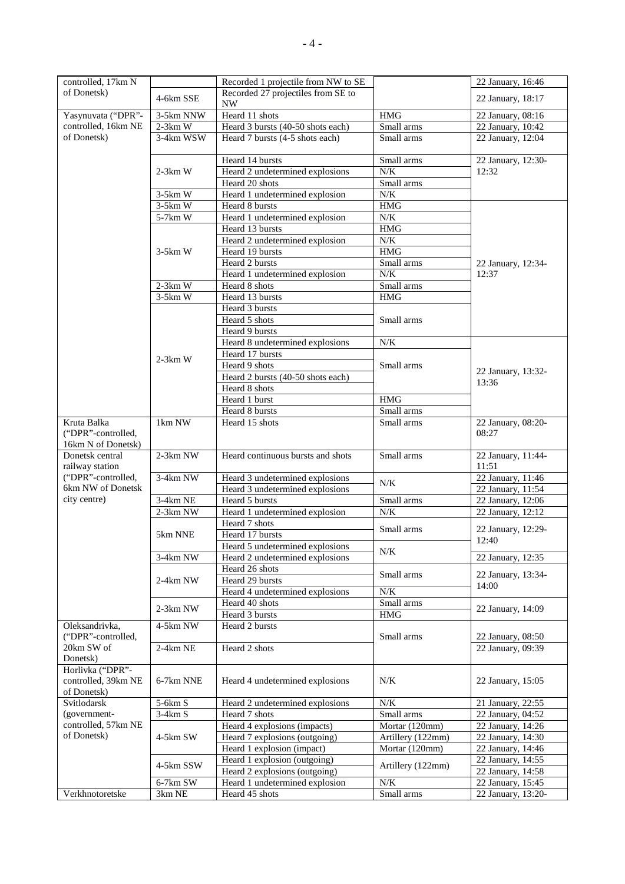| controlled, 17km N                    |            | Recorded 1 projectile from NW to SE |                   | 22 January, 16:46          |
|---------------------------------------|------------|-------------------------------------|-------------------|----------------------------|
| of Donetsk)                           | 4-6km SSE  | Recorded 27 projectiles from SE to  |                   | 22 January, 18:17          |
|                                       |            | $\ensuremath{\text{NW}}$            |                   |                            |
| Yasynuvata ("DPR"-                    | 3-5km NNW  | Heard 11 shots                      | <b>HMG</b>        | 22 January, 08:16          |
| controlled, 16km NE                   | $2-3km$ W  | Heard 3 bursts (40-50 shots each)   | Small arms        | 22 January, 10:42          |
| of Donetsk)                           | 3-4km WSW  | Heard 7 bursts (4-5 shots each)     | Small arms        | 22 January, 12:04          |
|                                       |            |                                     |                   |                            |
|                                       |            | Heard 14 bursts                     | Small arms        | 22 January, 12:30-         |
|                                       | $2-3km$ W  | Heard 2 undetermined explosions     | N/K               | 12:32                      |
|                                       |            | Heard 20 shots                      | Small arms        |                            |
|                                       | $3-5km$ W  | Heard 1 undetermined explosion      | $N/K$             |                            |
|                                       | $3-5km$ W  | Heard 8 bursts                      | <b>HMG</b>        |                            |
|                                       | 5-7km W    | Heard 1 undetermined explosion      | N/K               |                            |
|                                       |            | Heard 13 bursts                     | <b>HMG</b>        |                            |
|                                       |            | Heard 2 undetermined explosion      | $N\!/\!K$         |                            |
|                                       | $3-5km$ W  | Heard 19 bursts                     | HMG               |                            |
|                                       |            | Heard 2 bursts                      | Small arms        | 22 January, 12:34-         |
|                                       |            | Heard 1 undetermined explosion      | N/K               | 12:37                      |
|                                       | $2-3km$ W  | Heard 8 shots                       | Small arms        |                            |
|                                       | $3-5km$ W  | Heard 13 bursts                     | HMG               |                            |
|                                       |            | Heard 3 bursts                      |                   |                            |
|                                       |            | Heard 5 shots                       | Small arms        |                            |
|                                       |            | Heard 9 bursts                      |                   |                            |
|                                       |            | Heard 8 undetermined explosions     | $N/K$             |                            |
|                                       | $2-3km$ W  | Heard 17 bursts                     |                   |                            |
|                                       |            | Heard 9 shots                       | Small arms        | 22 January, 13:32-         |
|                                       |            | Heard 2 bursts (40-50 shots each)   |                   | 13:36                      |
|                                       |            | Heard 8 shots                       |                   |                            |
|                                       |            | Heard 1 burst                       | <b>HMG</b>        |                            |
|                                       |            | Heard 8 bursts                      | Small arms        |                            |
| Kruta Balka                           | 1km NW     | Heard 15 shots                      | Small arms        | 22 January, 08:20-         |
| ("DPR"-controlled,                    |            |                                     |                   | 08:27                      |
| 16km N of Donetsk)                    |            |                                     |                   |                            |
| Donetsk central                       | 2-3km NW   | Heard continuous bursts and shots   | Small arms        | 22 January, 11:44-         |
| railway station<br>("DPR"-controlled, | 3-4km NW   | Heard 3 undetermined explosions     |                   | 11:51<br>22 January, 11:46 |
| 6km NW of Donetsk                     |            | Heard 3 undetermined explosions     | N/K               | 22 January, 11:54          |
| city centre)                          | 3-4km NE   | Heard 5 bursts                      | Small arms        | 22 January, 12:06          |
|                                       | 2-3km NW   | Heard 1 undetermined explosion      | N/K               | 22 January, 12:12          |
|                                       |            | Heard 7 shots                       |                   |                            |
|                                       | 5km NNE    | Heard 17 bursts                     | Small arms        | 22 January, 12:29-         |
|                                       |            | Heard 5 undetermined explosions     |                   | 12:40                      |
|                                       | 3-4km NW   | Heard 2 undetermined explosions     | N/K               | 22 January, 12:35          |
|                                       |            | Heard 26 shots                      |                   |                            |
|                                       | 2-4km NW   | Heard 29 bursts                     | Small arms        | 22 January, 13:34-         |
|                                       |            | Heard 4 undetermined explosions     | $N/K$             | 14:00                      |
|                                       |            | Heard 40 shots                      | Small arms        |                            |
|                                       | 2-3km NW   | Heard 3 bursts                      | HMG               | 22 January, 14:09          |
| Oleksandrivka,                        | 4-5km NW   | Heard 2 bursts                      |                   |                            |
| ("DPR"-controlled,                    |            |                                     | Small arms        | 22 January, 08:50          |
| 20km SW of                            | $2-4km$ NE | Heard 2 shots                       |                   | 22 January, 09:39          |
| Donetsk)                              |            |                                     |                   |                            |
| Horlivka ("DPR"-                      |            |                                     |                   |                            |
| controlled, 39km NE                   | 6-7km NNE  | Heard 4 undetermined explosions     | N/K               | 22 January, 15:05          |
| of Donetsk)                           |            |                                     |                   |                            |
| Svitlodarsk                           | 5-6km S    | Heard 2 undetermined explosions     | N/K               | 21 January, 22:55          |
| (government-                          | $3-4km S$  | Heard 7 shots                       | Small arms        | 22 January, 04:52          |
| controlled, 57km NE                   |            | Heard 4 explosions (impacts)        | Mortar (120mm)    | 22 January, 14:26          |
| of Donetsk)                           | 4-5km SW   | Heard 7 explosions (outgoing)       | Artillery (122mm) | 22 January, 14:30          |
|                                       |            | Heard 1 explosion (impact)          | Mortar (120mm)    | 22 January, 14:46          |
|                                       |            | Heard 1 explosion (outgoing)        |                   | 22 January, 14:55          |
|                                       | 4-5km SSW  | Heard 2 explosions (outgoing)       | Artillery (122mm) | 22 January, 14:58          |
|                                       | 6-7km SW   | Heard 1 undetermined explosion      | N/K               | 22 January, 15:45          |
| Verkhnotoretske                       | 3km NE     | Heard 45 shots                      | Small arms        | 22 January, 13:20-         |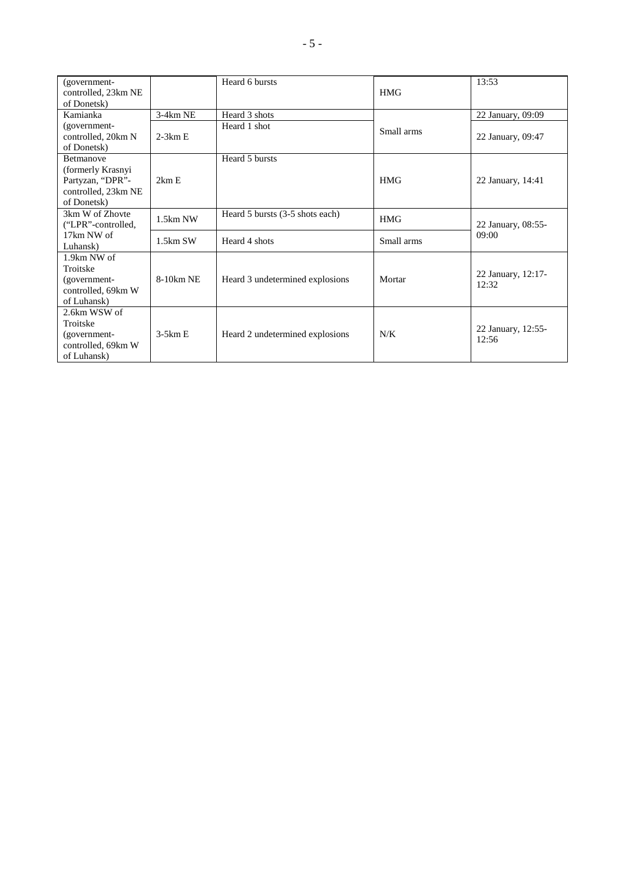| (government-<br>controlled, 23km NE<br>of Donetsk)                                              |            | Heard 6 bursts                  | <b>HMG</b> | 13:53                       |
|-------------------------------------------------------------------------------------------------|------------|---------------------------------|------------|-----------------------------|
| Kamianka                                                                                        | 3-4km NE   | Heard 3 shots                   |            | 22 January, 09:09           |
| (government-<br>controlled, 20km N<br>of Donetsk)                                               | $2-3km E$  | Heard 1 shot                    | Small arms | 22 January, 09:47           |
| <b>Betmanove</b><br>(formerly Krasnyi<br>Partyzan, "DPR"-<br>controlled, 23km NE<br>of Donetsk) | 2km E      | Heard 5 bursts                  | <b>HMG</b> | 22 January, 14:41           |
| 3km W of Zhovte<br>("LPR"-controlled,                                                           | $1.5km$ NW | Heard 5 bursts (3-5 shots each) | <b>HMG</b> | 22 January, 08:55-          |
| 17km NW of<br>Luhansk)                                                                          | $1.5km$ SW | Heard 4 shots                   | Small arms | 09:00                       |
| 1.9km NW of<br>Troitske<br>(government-<br>controlled, 69km W<br>of Luhansk)                    | 8-10km NE  | Heard 3 undetermined explosions | Mortar     | 22 January, 12:17-<br>12:32 |
| 2.6km WSW of<br>Troitske<br>(government-<br>controlled, 69km W<br>of Luhansk)                   | $3-5km E$  | Heard 2 undetermined explosions | N/K        | 22 January, 12:55-<br>12:56 |